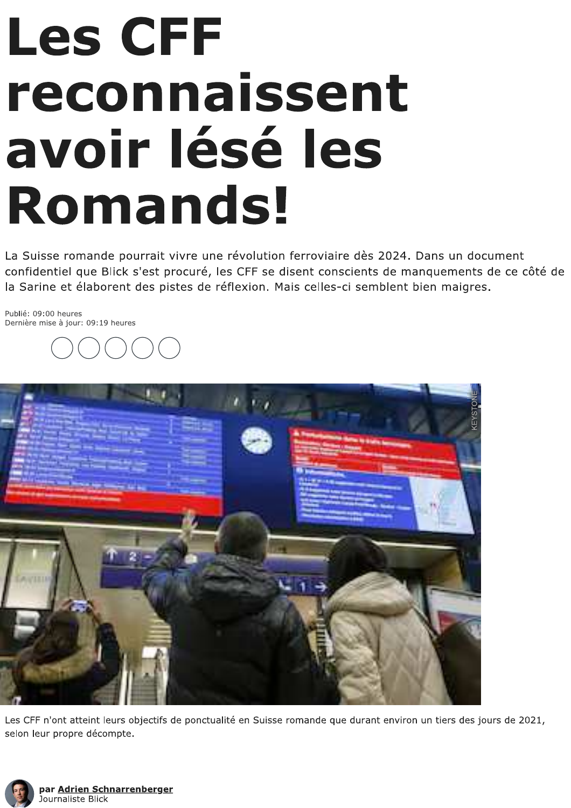## **Les CFF** reconnaissent avoir lésé les **Romands!**

La Suisse romande pourrait vivre une révolution ferroviaire dès 2024. Dans un document confidentiel que Blick s'est procuré, les CFF se disent conscients de manquements de ce côté de la Sarine et élaborent des pistes de réflexion. Mais celles-ci semblent bien maigres.

Publié: 09:00 heures Dernière mise à jour: 09:19 heures





Les CFF n'ont atteint leurs objectifs de ponctualité en Suisse romande que durant environ un tiers des jours de 2021, selon leur propre décompte.

![](_page_0_Picture_6.jpeg)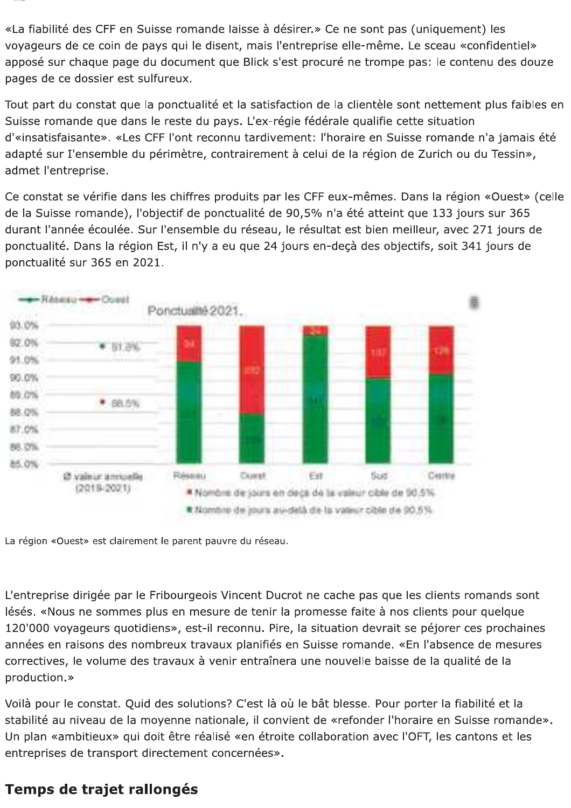«La fiabilité des CFF en Suisse romande laisse à désirer.» Ce ne sont pas (uniquement) les voyageurs de ce coin de pays qui le disent, mais l'entreprise elle-même. Le sceau «confidentiel» apposé sur chaque page du document que Blick s'est procuré ne trompe pas: le contenu des douze pages de ce dossier est sulfureux.

Tout part du constat que la ponctualité et la satisfaction de la clientèle sont nettement plus faibles en Suisse romande que dans le reste du pays. L'ex-régie fédérale qualifie cette situation d'«insatisfaisante». «Les CFF l'ont reconnu tardivement: l'horaire en Suisse romande n'a jamais été adapté sur I'ensemble du périmètre, contrairement à celui de la région de Zurich ou du Tessin», admet l'entreprise.

Ce constat se vérifie dans les chiffres produits par les CFF eux-mêmes. Dans la région «Ouest» (celle de la Suisse romande), l'objectif de ponctualité de 90,5% n'a été atteint que 133 jours sur 365 durant l'année écoulée. Sur l'ensemble du réseau, le résultat est bien meilleur, avec 271 jours de ponctualité. Dans la région Est, il n'y a eu que 24 jours en-deçà des objectifs, soit 341 jours de ponctualité sur 365 en 2021.

![](_page_1_Figure_4.jpeg)

La région «Ouest» est clairement le parent pauvre du réseau.

L'entreprise dirigée par le Fribourgeois Vincent Ducrot ne cache pas que les clients romands sont lésés. «Nous ne sommes plus en mesure de tenir la promesse faite à nos clients pour quelque 120'000 voyageurs quotidiens», est-il reconnu. Pire, la situation devrait se péjorer ces prochaines années en raisons des nombreux travaux planifiés en Suisse romande. «En l'absence de mesures correctives, le volume des travaux à venir entraînera une nouvelle baisse de la qualité de la production.»

Voilà pour le constat. Quid des solutions? C'est là où le bât blesse. Pour porter la fiabilité et la stabilité au niveau de la moyenne nationale, il convient de «refonder l'horaire en Suisse romande». Un plan «ambitieux» qui doit être réalisé «en étroite collaboration avec l'OFT, les cantons et les entreprises de transport directement concernées».

## Temps de trajet rallongés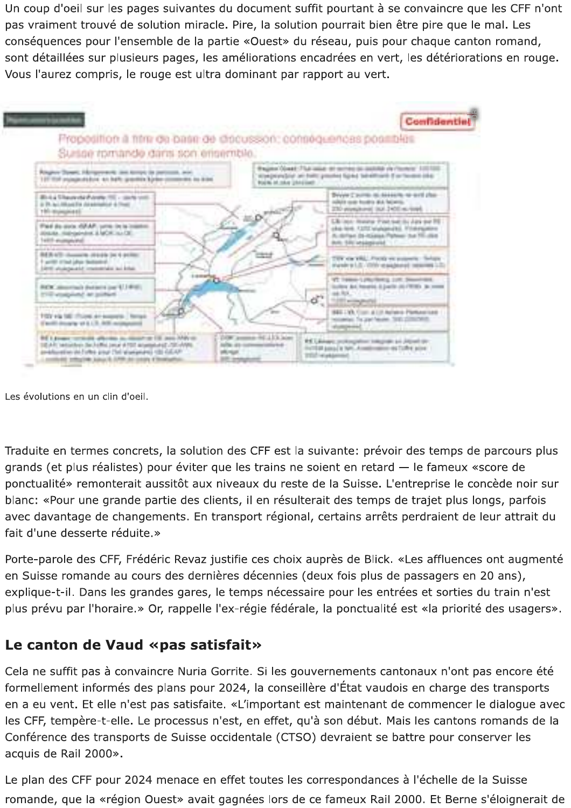Un coup d'oeil sur les pages suivantes du document suffit pourtant à se convaincre que les CFF n'ont pas vraiment trouvé de solution miracle. Pire, la solution pourrait bien être pire que le mal. Les conséquences pour l'ensemble de la partie «Ouest» du réseau, puis pour chaque canton romand, sont détaillées sur plusieurs pages, les améliorations encadrées en vert, les détériorations en rouge. Vous l'aurez compris, le rouge est ultra dominant par rapport au vert.

![](_page_2_Figure_1.jpeg)

Les évolutions en un clin d'oeil.

Traduite en termes concrets, la solution des CFF est la suivante: prévoir des temps de parcours plus grands (et plus réalistes) pour éviter que les trains ne soient en retard - le fameux «score de ponctualité» remonterait aussitôt aux niveaux du reste de la Suisse. L'entreprise le concède noir sur blanc: «Pour une grande partie des clients, il en résulterait des temps de trajet plus longs, parfois avec davantage de changements. En transport régional, certains arrêts perdraient de leur attrait du fait d'une desserte réduite.»

Porte-parole des CFF, Frédéric Revaz justifie ces choix auprès de Blick. «Les affluences ont augmenté en Suisse romande au cours des dernières décennies (deux fois plus de passagers en 20 ans), explique-t-il. Dans les grandes gares, le temps nécessaire pour les entrées et sorties du train n'est plus prévu par l'horaire.» Or, rappelle l'ex-régie fédérale, la ponctualité est «la priorité des usagers».

## Le canton de Vaud «pas satisfait»

Cela ne suffit pas à convaincre Nuria Gorrite. Si les gouvernements cantonaux n'ont pas encore été formellement informés des plans pour 2024, la conseillère d'État vaudois en charge des transports en a eu vent. Et elle n'est pas satisfaite. «L'important est maintenant de commencer le dialogue avec les CFF, tempère-t-elle. Le processus n'est, en effet, qu'à son début. Mais les cantons romands de la Conférence des transports de Suisse occidentale (CTSO) devraient se battre pour conserver les acquis de Rail 2000».

Le plan des CFF pour 2024 menace en effet toutes les correspondances à l'échelle de la Suisse romande, que la «région Ouest» avait gagnées lors de ce fameux Rail 2000. Et Berne s'éloignerait de